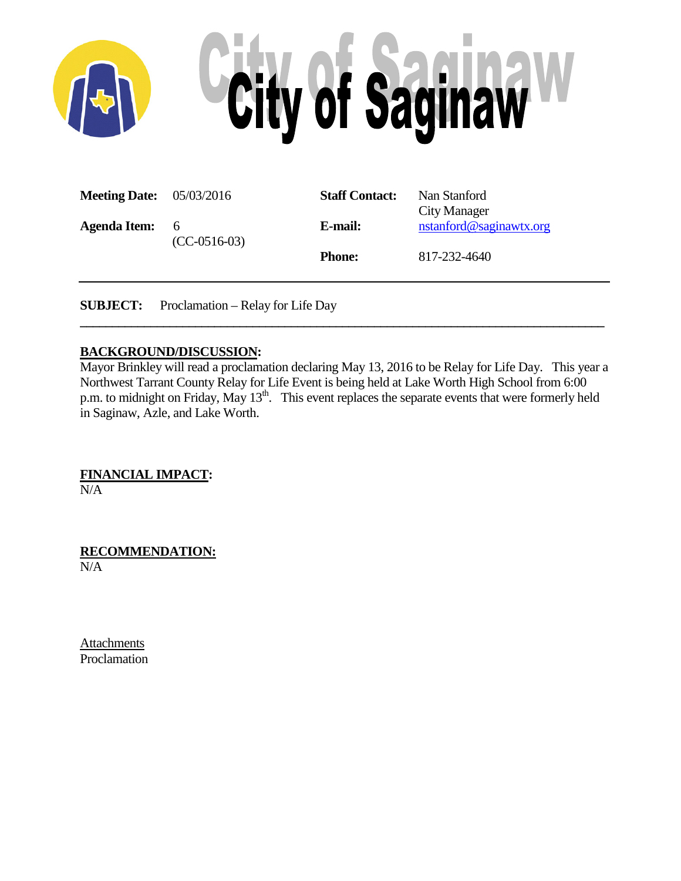

| <b>Meeting Date:</b> 05/03/2016 |                     | <b>Staff Contact:</b> | Nan Stanford<br>City Manager |
|---------------------------------|---------------------|-----------------------|------------------------------|
| <b>Agenda Item:</b>             | 6<br>$(CC-0516-03)$ | E-mail:               | nstanford@saginawtx.org      |
|                                 |                     | <b>Phone:</b>         | 817-232-4640                 |

**SUBJECT:** Proclamation – Relay for Life Day

#### **BACKGROUND/DISCUSSION:**

Mayor Brinkley will read a proclamation declaring May 13, 2016 to be Relay for Life Day. This year a Northwest Tarrant County Relay for Life Event is being held at Lake Worth High School from 6:00 p.m. to midnight on Friday, May 13<sup>th</sup>. This event replaces the separate events that were formerly held in Saginaw, Azle, and Lake Worth.

**\_\_\_\_\_\_\_\_\_\_\_\_\_\_\_\_\_\_\_\_\_\_\_\_\_\_\_\_\_\_\_\_\_\_\_\_\_\_\_\_\_\_\_\_\_\_\_\_\_\_\_\_\_\_\_\_\_\_\_\_\_\_\_\_\_\_\_\_\_\_\_\_\_\_\_\_\_\_\_\_\_\_**

**FINANCIAL IMPACT:**

N/A

**RECOMMENDATION:** N/A

Attachments Proclamation